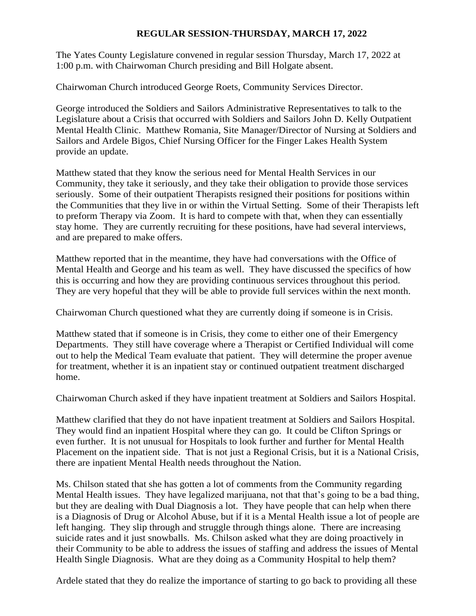#### **REGULAR SESSION-THURSDAY, MARCH 17, 2022**

The Yates County Legislature convened in regular session Thursday, March 17, 2022 at 1:00 p.m. with Chairwoman Church presiding and Bill Holgate absent.

Chairwoman Church introduced George Roets, Community Services Director.

George introduced the Soldiers and Sailors Administrative Representatives to talk to the Legislature about a Crisis that occurred with Soldiers and Sailors John D. Kelly Outpatient Mental Health Clinic. Matthew Romania, Site Manager/Director of Nursing at Soldiers and Sailors and Ardele Bigos, Chief Nursing Officer for the Finger Lakes Health System provide an update.

Matthew stated that they know the serious need for Mental Health Services in our Community, they take it seriously, and they take their obligation to provide those services seriously. Some of their outpatient Therapists resigned their positions for positions within the Communities that they live in or within the Virtual Setting. Some of their Therapists left to preform Therapy via Zoom. It is hard to compete with that, when they can essentially stay home. They are currently recruiting for these positions, have had several interviews, and are prepared to make offers.

Matthew reported that in the meantime, they have had conversations with the Office of Mental Health and George and his team as well. They have discussed the specifics of how this is occurring and how they are providing continuous services throughout this period. They are very hopeful that they will be able to provide full services within the next month.

Chairwoman Church questioned what they are currently doing if someone is in Crisis.

Matthew stated that if someone is in Crisis, they come to either one of their Emergency Departments. They still have coverage where a Therapist or Certified Individual will come out to help the Medical Team evaluate that patient. They will determine the proper avenue for treatment, whether it is an inpatient stay or continued outpatient treatment discharged home.

Chairwoman Church asked if they have inpatient treatment at Soldiers and Sailors Hospital.

Matthew clarified that they do not have inpatient treatment at Soldiers and Sailors Hospital. They would find an inpatient Hospital where they can go. It could be Clifton Springs or even further. It is not unusual for Hospitals to look further and further for Mental Health Placement on the inpatient side. That is not just a Regional Crisis, but it is a National Crisis, there are inpatient Mental Health needs throughout the Nation.

Ms. Chilson stated that she has gotten a lot of comments from the Community regarding Mental Health issues. They have legalized marijuana, not that that's going to be a bad thing, but they are dealing with Dual Diagnosis a lot. They have people that can help when there is a Diagnosis of Drug or Alcohol Abuse, but if it is a Mental Health issue a lot of people are left hanging. They slip through and struggle through things alone. There are increasing suicide rates and it just snowballs. Ms. Chilson asked what they are doing proactively in their Community to be able to address the issues of staffing and address the issues of Mental Health Single Diagnosis. What are they doing as a Community Hospital to help them?

Ardele stated that they do realize the importance of starting to go back to providing all these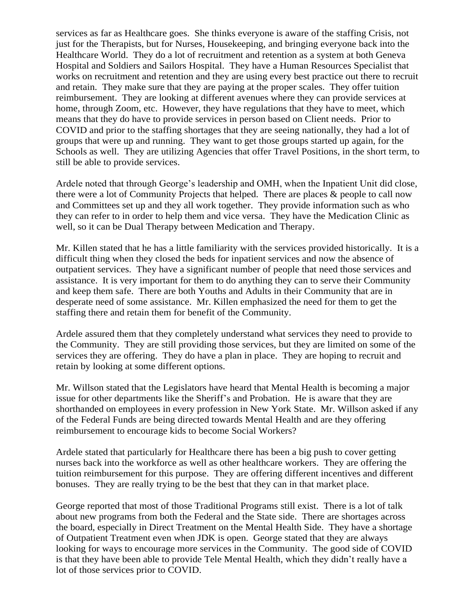services as far as Healthcare goes. She thinks everyone is aware of the staffing Crisis, not just for the Therapists, but for Nurses, Housekeeping, and bringing everyone back into the Healthcare World. They do a lot of recruitment and retention as a system at both Geneva Hospital and Soldiers and Sailors Hospital. They have a Human Resources Specialist that works on recruitment and retention and they are using every best practice out there to recruit and retain. They make sure that they are paying at the proper scales. They offer tuition reimbursement. They are looking at different avenues where they can provide services at home, through Zoom, etc. However, they have regulations that they have to meet, which means that they do have to provide services in person based on Client needs. Prior to COVID and prior to the staffing shortages that they are seeing nationally, they had a lot of groups that were up and running. They want to get those groups started up again, for the Schools as well. They are utilizing Agencies that offer Travel Positions, in the short term, to still be able to provide services.

Ardele noted that through George's leadership and OMH, when the Inpatient Unit did close, there were a lot of Community Projects that helped. There are places & people to call now and Committees set up and they all work together. They provide information such as who they can refer to in order to help them and vice versa. They have the Medication Clinic as well, so it can be Dual Therapy between Medication and Therapy.

Mr. Killen stated that he has a little familiarity with the services provided historically. It is a difficult thing when they closed the beds for inpatient services and now the absence of outpatient services. They have a significant number of people that need those services and assistance. It is very important for them to do anything they can to serve their Community and keep them safe. There are both Youths and Adults in their Community that are in desperate need of some assistance. Mr. Killen emphasized the need for them to get the staffing there and retain them for benefit of the Community.

Ardele assured them that they completely understand what services they need to provide to the Community. They are still providing those services, but they are limited on some of the services they are offering. They do have a plan in place. They are hoping to recruit and retain by looking at some different options.

Mr. Willson stated that the Legislators have heard that Mental Health is becoming a major issue for other departments like the Sheriff's and Probation. He is aware that they are shorthanded on employees in every profession in New York State. Mr. Willson asked if any of the Federal Funds are being directed towards Mental Health and are they offering reimbursement to encourage kids to become Social Workers?

Ardele stated that particularly for Healthcare there has been a big push to cover getting nurses back into the workforce as well as other healthcare workers. They are offering the tuition reimbursement for this purpose. They are offering different incentives and different bonuses. They are really trying to be the best that they can in that market place.

George reported that most of those Traditional Programs still exist. There is a lot of talk about new programs from both the Federal and the State side. There are shortages across the board, especially in Direct Treatment on the Mental Health Side. They have a shortage of Outpatient Treatment even when JDK is open. George stated that they are always looking for ways to encourage more services in the Community. The good side of COVID is that they have been able to provide Tele Mental Health, which they didn't really have a lot of those services prior to COVID.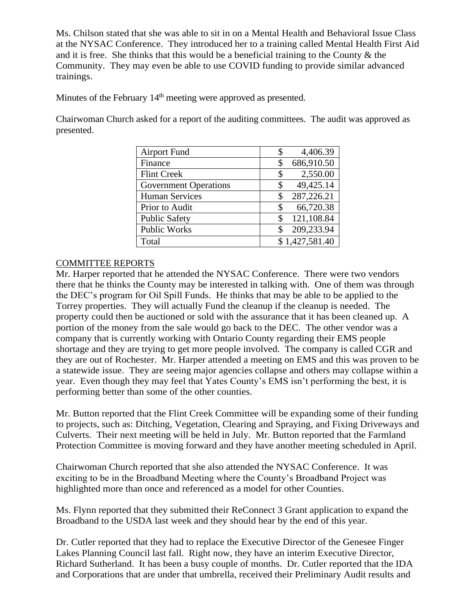Ms. Chilson stated that she was able to sit in on a Mental Health and Behavioral Issue Class at the NYSAC Conference. They introduced her to a training called Mental Health First Aid and it is free. She thinks that this would be a beneficial training to the County & the Community. They may even be able to use COVID funding to provide similar advanced trainings.

Minutes of the February 14<sup>th</sup> meeting were approved as presented.

Chairwoman Church asked for a report of the auditing committees. The audit was approved as presented.

| <b>Airport Fund</b>          | 4,406.39<br>\$   |
|------------------------------|------------------|
| Finance                      | 686,910.50<br>\$ |
| <b>Flint Creek</b>           | 2,550.00<br>\$   |
| <b>Government Operations</b> | 49,425.14<br>\$  |
| <b>Human Services</b>        | 287,226.21<br>\$ |
| Prior to Audit               | 66,720.38<br>\$  |
| <b>Public Safety</b>         | 121,108.84<br>\$ |
| <b>Public Works</b>          | 209,233.94<br>S  |
| Total                        | \$1,427,581.40   |

## COMMITTEE REPORTS

Mr. Harper reported that he attended the NYSAC Conference. There were two vendors there that he thinks the County may be interested in talking with. One of them was through the DEC's program for Oil Spill Funds. He thinks that may be able to be applied to the Torrey properties. They will actually Fund the cleanup if the cleanup is needed. The property could then be auctioned or sold with the assurance that it has been cleaned up. A portion of the money from the sale would go back to the DEC. The other vendor was a company that is currently working with Ontario County regarding their EMS people shortage and they are trying to get more people involved. The company is called CGR and they are out of Rochester. Mr. Harper attended a meeting on EMS and this was proven to be a statewide issue. They are seeing major agencies collapse and others may collapse within a year. Even though they may feel that Yates County's EMS isn't performing the best, it is performing better than some of the other counties.

Mr. Button reported that the Flint Creek Committee will be expanding some of their funding to projects, such as: Ditching, Vegetation, Clearing and Spraying, and Fixing Driveways and Culverts. Their next meeting will be held in July. Mr. Button reported that the Farmland Protection Committee is moving forward and they have another meeting scheduled in April.

Chairwoman Church reported that she also attended the NYSAC Conference. It was exciting to be in the Broadband Meeting where the County's Broadband Project was highlighted more than once and referenced as a model for other Counties.

Ms. Flynn reported that they submitted their ReConnect 3 Grant application to expand the Broadband to the USDA last week and they should hear by the end of this year.

Dr. Cutler reported that they had to replace the Executive Director of the Genesee Finger Lakes Planning Council last fall. Right now, they have an interim Executive Director, Richard Sutherland. It has been a busy couple of months. Dr. Cutler reported that the IDA and Corporations that are under that umbrella, received their Preliminary Audit results and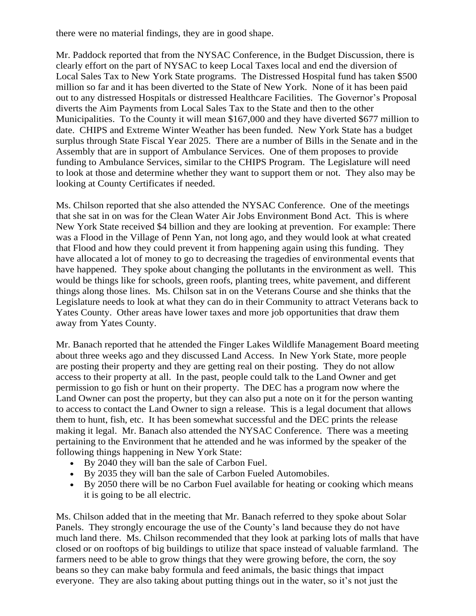there were no material findings, they are in good shape.

Mr. Paddock reported that from the NYSAC Conference, in the Budget Discussion, there is clearly effort on the part of NYSAC to keep Local Taxes local and end the diversion of Local Sales Tax to New York State programs. The Distressed Hospital fund has taken \$500 million so far and it has been diverted to the State of New York. None of it has been paid out to any distressed Hospitals or distressed Healthcare Facilities. The Governor's Proposal diverts the Aim Payments from Local Sales Tax to the State and then to the other Municipalities. To the County it will mean \$167,000 and they have diverted \$677 million to date. CHIPS and Extreme Winter Weather has been funded. New York State has a budget surplus through State Fiscal Year 2025. There are a number of Bills in the Senate and in the Assembly that are in support of Ambulance Services. One of them proposes to provide funding to Ambulance Services, similar to the CHIPS Program. The Legislature will need to look at those and determine whether they want to support them or not. They also may be looking at County Certificates if needed.

Ms. Chilson reported that she also attended the NYSAC Conference. One of the meetings that she sat in on was for the Clean Water Air Jobs Environment Bond Act. This is where New York State received \$4 billion and they are looking at prevention. For example: There was a Flood in the Village of Penn Yan, not long ago, and they would look at what created that Flood and how they could prevent it from happening again using this funding. They have allocated a lot of money to go to decreasing the tragedies of environmental events that have happened. They spoke about changing the pollutants in the environment as well. This would be things like for schools, green roofs, planting trees, white pavement, and different things along those lines. Ms. Chilson sat in on the Veterans Course and she thinks that the Legislature needs to look at what they can do in their Community to attract Veterans back to Yates County. Other areas have lower taxes and more job opportunities that draw them away from Yates County.

Mr. Banach reported that he attended the Finger Lakes Wildlife Management Board meeting about three weeks ago and they discussed Land Access. In New York State, more people are posting their property and they are getting real on their posting. They do not allow access to their property at all. In the past, people could talk to the Land Owner and get permission to go fish or hunt on their property. The DEC has a program now where the Land Owner can post the property, but they can also put a note on it for the person wanting to access to contact the Land Owner to sign a release. This is a legal document that allows them to hunt, fish, etc. It has been somewhat successful and the DEC prints the release making it legal. Mr. Banach also attended the NYSAC Conference. There was a meeting pertaining to the Environment that he attended and he was informed by the speaker of the following things happening in New York State:

- By 2040 they will ban the sale of Carbon Fuel.
- By 2035 they will ban the sale of Carbon Fueled Automobiles.
- By 2050 there will be no Carbon Fuel available for heating or cooking which means it is going to be all electric.

Ms. Chilson added that in the meeting that Mr. Banach referred to they spoke about Solar Panels. They strongly encourage the use of the County's land because they do not have much land there. Ms. Chilson recommended that they look at parking lots of malls that have closed or on rooftops of big buildings to utilize that space instead of valuable farmland. The farmers need to be able to grow things that they were growing before, the corn, the soy beans so they can make baby formula and feed animals, the basic things that impact everyone. They are also taking about putting things out in the water, so it's not just the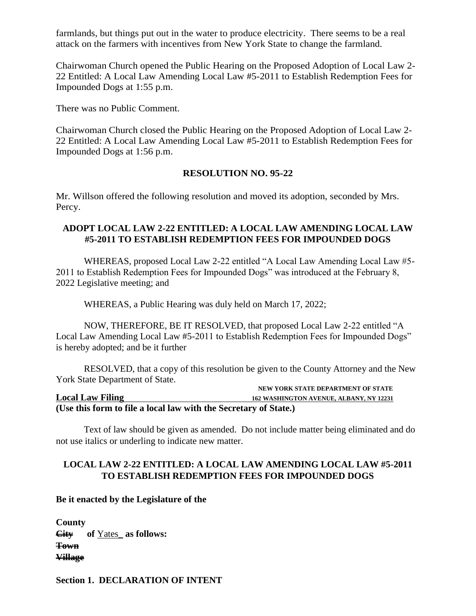farmlands, but things put out in the water to produce electricity. There seems to be a real attack on the farmers with incentives from New York State to change the farmland.

Chairwoman Church opened the Public Hearing on the Proposed Adoption of Local Law 2- 22 Entitled: A Local Law Amending Local Law #5-2011 to Establish Redemption Fees for Impounded Dogs at 1:55 p.m.

There was no Public Comment.

Chairwoman Church closed the Public Hearing on the Proposed Adoption of Local Law 2- 22 Entitled: A Local Law Amending Local Law #5-2011 to Establish Redemption Fees for Impounded Dogs at 1:56 p.m.

#### **RESOLUTION NO. 95-22**

Mr. Willson offered the following resolution and moved its adoption, seconded by Mrs. Percy.

#### **ADOPT LOCAL LAW 2-22 ENTITLED: A LOCAL LAW AMENDING LOCAL LAW #5-2011 TO ESTABLISH REDEMPTION FEES FOR IMPOUNDED DOGS**

WHEREAS, proposed Local Law 2-22 entitled "A Local Law Amending Local Law #5- 2011 to Establish Redemption Fees for Impounded Dogs" was introduced at the February 8, 2022 Legislative meeting; and

WHEREAS, a Public Hearing was duly held on March 17, 2022;

NOW, THEREFORE, BE IT RESOLVED, that proposed Local Law 2-22 entitled "A Local Law Amending Local Law #5-2011 to Establish Redemption Fees for Impounded Dogs" is hereby adopted; and be it further

RESOLVED, that a copy of this resolution be given to the County Attorney and the New York State Department of State.

|                                                                  | NEW YORK STATE DEPARTMENT OF STATE             |
|------------------------------------------------------------------|------------------------------------------------|
| <b>Local Law Filing</b>                                          | <b>162 WASHINGTON AVENUE, ALBANY, NY 12231</b> |
| (Use this form to file a local law with the Secretary of State.) |                                                |

Text of law should be given as amended. Do not include matter being eliminated and do not use italics or underling to indicate new matter.

### **LOCAL LAW 2-22 ENTITLED: A LOCAL LAW AMENDING LOCAL LAW #5-2011 TO ESTABLISH REDEMPTION FEES FOR IMPOUNDED DOGS**

**Be it enacted by the Legislature of the** 

**County City of** Yates\_ **as follows: Town Village** 

**Section 1. DECLARATION OF INTENT**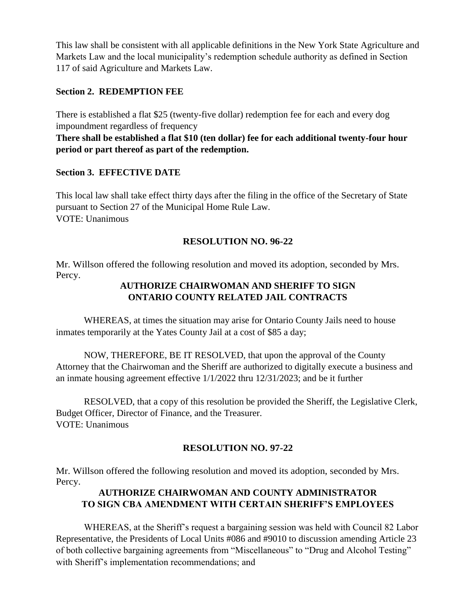This law shall be consistent with all applicable definitions in the New York State Agriculture and Markets Law and the local municipality's redemption schedule authority as defined in Section 117 of said Agriculture and Markets Law.

#### **Section 2. REDEMPTION FEE**

There is established a flat \$25 (twenty-five dollar) redemption fee for each and every dog impoundment regardless of frequency

**There shall be established a flat \$10 (ten dollar) fee for each additional twenty-four hour period or part thereof as part of the redemption.**

#### **Section 3. EFFECTIVE DATE**

This local law shall take effect thirty days after the filing in the office of the Secretary of State pursuant to Section 27 of the Municipal Home Rule Law. VOTE: Unanimous

### **RESOLUTION NO. 96-22**

Mr. Willson offered the following resolution and moved its adoption, seconded by Mrs. Percy.

## **AUTHORIZE CHAIRWOMAN AND SHERIFF TO SIGN ONTARIO COUNTY RELATED JAIL CONTRACTS**

WHEREAS, at times the situation may arise for Ontario County Jails need to house inmates temporarily at the Yates County Jail at a cost of \$85 a day;

NOW, THEREFORE, BE IT RESOLVED, that upon the approval of the County Attorney that the Chairwoman and the Sheriff are authorized to digitally execute a business and an inmate housing agreement effective 1/1/2022 thru 12/31/2023; and be it further

RESOLVED, that a copy of this resolution be provided the Sheriff, the Legislative Clerk, Budget Officer, Director of Finance, and the Treasurer. VOTE: Unanimous

### **RESOLUTION NO. 97-22**

Mr. Willson offered the following resolution and moved its adoption, seconded by Mrs. Percy.

## **AUTHORIZE CHAIRWOMAN AND COUNTY ADMINISTRATOR TO SIGN CBA AMENDMENT WITH CERTAIN SHERIFF'S EMPLOYEES**

WHEREAS, at the Sheriff's request a bargaining session was held with Council 82 Labor Representative, the Presidents of Local Units #086 and #9010 to discussion amending Article 23 of both collective bargaining agreements from "Miscellaneous" to "Drug and Alcohol Testing" with Sheriff's implementation recommendations; and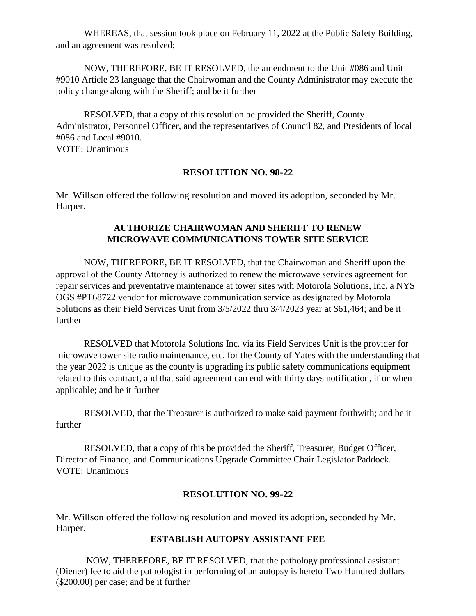WHEREAS, that session took place on February 11, 2022 at the Public Safety Building, and an agreement was resolved;

NOW, THEREFORE, BE IT RESOLVED, the amendment to the Unit #086 and Unit #9010 Article 23 language that the Chairwoman and the County Administrator may execute the policy change along with the Sheriff; and be it further

RESOLVED, that a copy of this resolution be provided the Sheriff, County Administrator, Personnel Officer, and the representatives of Council 82, and Presidents of local #086 and Local #9010. VOTE: Unanimous

#### **RESOLUTION NO. 98-22**

Mr. Willson offered the following resolution and moved its adoption, seconded by Mr. Harper.

## **AUTHORIZE CHAIRWOMAN AND SHERIFF TO RENEW MICROWAVE COMMUNICATIONS TOWER SITE SERVICE**

NOW, THEREFORE, BE IT RESOLVED, that the Chairwoman and Sheriff upon the approval of the County Attorney is authorized to renew the microwave services agreement for repair services and preventative maintenance at tower sites with Motorola Solutions, Inc. a NYS OGS #PT68722 vendor for microwave communication service as designated by Motorola Solutions as their Field Services Unit from 3/5/2022 thru 3/4/2023 year at \$61,464; and be it further

RESOLVED that Motorola Solutions Inc. via its Field Services Unit is the provider for microwave tower site radio maintenance, etc. for the County of Yates with the understanding that the year 2022 is unique as the county is upgrading its public safety communications equipment related to this contract, and that said agreement can end with thirty days notification, if or when applicable; and be it further

RESOLVED, that the Treasurer is authorized to make said payment forthwith; and be it further

RESOLVED, that a copy of this be provided the Sheriff, Treasurer, Budget Officer, Director of Finance, and Communications Upgrade Committee Chair Legislator Paddock. VOTE: Unanimous

#### **RESOLUTION NO. 99-22**

Mr. Willson offered the following resolution and moved its adoption, seconded by Mr. Harper.

#### **ESTABLISH AUTOPSY ASSISTANT FEE**

NOW, THEREFORE, BE IT RESOLVED, that the pathology professional assistant (Diener) fee to aid the pathologist in performing of an autopsy is hereto Two Hundred dollars (\$200.00) per case; and be it further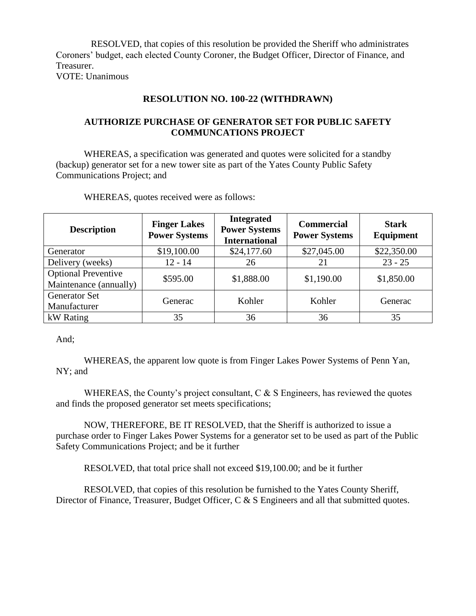RESOLVED, that copies of this resolution be provided the Sheriff who administrates Coroners' budget, each elected County Coroner, the Budget Officer, Director of Finance, and Treasurer. VOTE: Unanimous

#### **RESOLUTION NO. 100-22 (WITHDRAWN)**

## **AUTHORIZE PURCHASE OF GENERATOR SET FOR PUBLIC SAFETY COMMUNCATIONS PROJECT**

WHEREAS, a specification was generated and quotes were solicited for a standby (backup) generator set for a new tower site as part of the Yates County Public Safety Communications Project; and

| <b>Description</b>                                   | <b>Finger Lakes</b><br><b>Power Systems</b> | <b>Integrated</b><br><b>Power Systems</b><br><b>International</b> | <b>Commercial</b><br><b>Power Systems</b> | <b>Stark</b><br>Equipment |
|------------------------------------------------------|---------------------------------------------|-------------------------------------------------------------------|-------------------------------------------|---------------------------|
| Generator                                            | \$19,100.00                                 | \$24,177.60                                                       | \$27,045.00                               | \$22,350.00               |
| Delivery (weeks)                                     | $12 - 14$                                   | 26                                                                | 21                                        | $23 - 25$                 |
| <b>Optional Preventive</b><br>Maintenance (annually) | \$595.00                                    | \$1,888.00                                                        | \$1,190.00                                | \$1,850.00                |
| <b>Generator Set</b><br>Manufacturer                 | Generac                                     | Kohler                                                            | Kohler                                    | Generac                   |
| kW Rating                                            | 35                                          | 36                                                                | 36                                        | 35                        |

WHEREAS, quotes received were as follows:

And;

WHEREAS, the apparent low quote is from Finger Lakes Power Systems of Penn Yan, NY; and

WHEREAS, the County's project consultant, C & S Engineers, has reviewed the quotes and finds the proposed generator set meets specifications;

NOW, THEREFORE, BE IT RESOLVED, that the Sheriff is authorized to issue a purchase order to Finger Lakes Power Systems for a generator set to be used as part of the Public Safety Communications Project; and be it further

RESOLVED, that total price shall not exceed \$19,100.00; and be it further

RESOLVED, that copies of this resolution be furnished to the Yates County Sheriff, Director of Finance, Treasurer, Budget Officer, C & S Engineers and all that submitted quotes.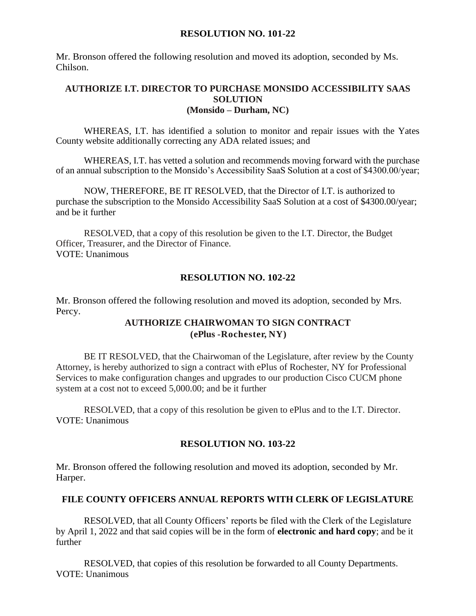#### **RESOLUTION NO. 101-22**

Mr. Bronson offered the following resolution and moved its adoption, seconded by Ms. Chilson.

#### **AUTHORIZE I.T. DIRECTOR TO PURCHASE MONSIDO ACCESSIBILITY SAAS SOLUTION (Monsido – Durham, NC)**

WHEREAS, I.T. has identified a solution to monitor and repair issues with the Yates County website additionally correcting any ADA related issues; and

WHEREAS, I.T. has vetted a solution and recommends moving forward with the purchase of an annual subscription to the Monsido's Accessibility SaaS Solution at a cost of \$4300.00/year;

NOW, THEREFORE, BE IT RESOLVED, that the Director of I.T. is authorized to purchase the subscription to the Monsido Accessibility SaaS Solution at a cost of \$4300.00/year; and be it further

RESOLVED, that a copy of this resolution be given to the I.T. Director, the Budget Officer, Treasurer, and the Director of Finance. VOTE: Unanimous

### **RESOLUTION NO. 102-22**

Mr. Bronson offered the following resolution and moved its adoption, seconded by Mrs. Percy.

### **AUTHORIZE CHAIRWOMAN TO SIGN CONTRACT (ePlus -Rochester, NY)**

BE IT RESOLVED, that the Chairwoman of the Legislature, after review by the County Attorney, is hereby authorized to sign a contract with ePlus of Rochester, NY for Professional Services to make configuration changes and upgrades to our production Cisco CUCM phone system at a cost not to exceed 5,000.00; and be it further

RESOLVED, that a copy of this resolution be given to ePlus and to the I.T. Director. VOTE: Unanimous

### **RESOLUTION NO. 103-22**

Mr. Bronson offered the following resolution and moved its adoption, seconded by Mr. Harper.

### **FILE COUNTY OFFICERS ANNUAL REPORTS WITH CLERK OF LEGISLATURE**

RESOLVED, that all County Officers' reports be filed with the Clerk of the Legislature by April 1, 2022 and that said copies will be in the form of **electronic and hard copy**; and be it further

RESOLVED, that copies of this resolution be forwarded to all County Departments. VOTE: Unanimous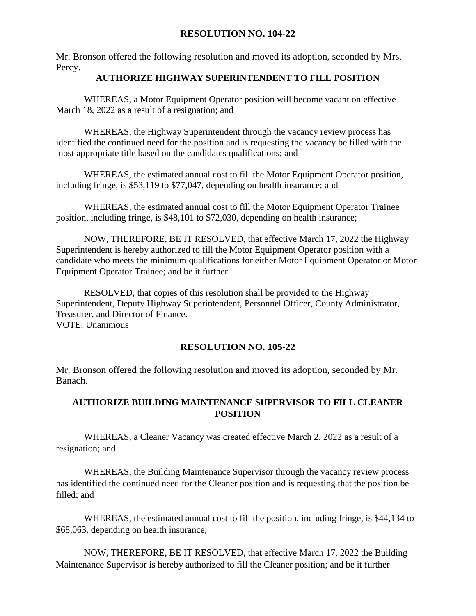#### **RESOLUTION NO. 104-22**

Mr. Bronson offered the following resolution and moved its adoption, seconded by Mrs. Percy.

#### **AUTHORIZE HIGHWAY SUPERINTENDENT TO FILL POSITION**

WHEREAS, a Motor Equipment Operator position will become vacant on effective March 18, 2022 as a result of a resignation; and

WHEREAS, the Highway Superintendent through the vacancy review process has identified the continued need for the position and is requesting the vacancy be filled with the most appropriate title based on the candidates qualifications; and

WHEREAS, the estimated annual cost to fill the Motor Equipment Operator position, including fringe, is \$53,119 to \$77,047, depending on health insurance; and

WHEREAS, the estimated annual cost to fill the Motor Equipment Operator Trainee position, including fringe, is \$48,101 to \$72,030, depending on health insurance;

NOW, THEREFORE, BE IT RESOLVED, that effective March 17, 2022 the Highway Superintendent is hereby authorized to fill the Motor Equipment Operator position with a candidate who meets the minimum qualifications for either Motor Equipment Operator or Motor Equipment Operator Trainee; and be it further

RESOLVED, that copies of this resolution shall be provided to the Highway Superintendent, Deputy Highway Superintendent, Personnel Officer, County Administrator, Treasurer, and Director of Finance. VOTE: Unanimous

### **RESOLUTION NO. 105-22**

Mr. Bronson offered the following resolution and moved its adoption, seconded by Mr. Banach.

## **AUTHORIZE BUILDING MAINTENANCE SUPERVISOR TO FILL CLEANER POSITION**

WHEREAS, a Cleaner Vacancy was created effective March 2, 2022 as a result of a resignation; and

WHEREAS, the Building Maintenance Supervisor through the vacancy review process has identified the continued need for the Cleaner position and is requesting that the position be filled; and

WHEREAS, the estimated annual cost to fill the position, including fringe, is \$44,134 to \$68,063, depending on health insurance;

NOW, THEREFORE, BE IT RESOLVED, that effective March 17, 2022 the Building Maintenance Supervisor is hereby authorized to fill the Cleaner position; and be it further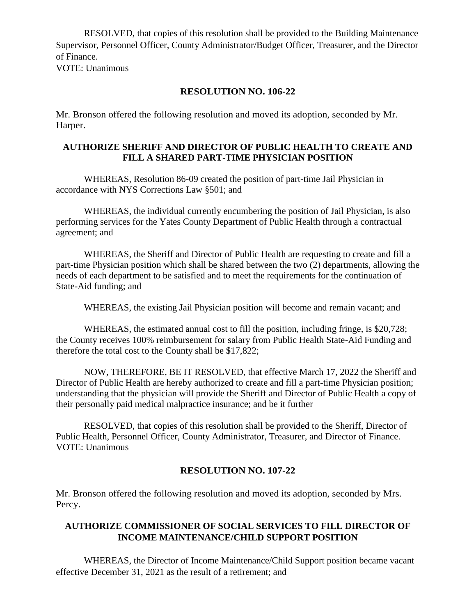RESOLVED, that copies of this resolution shall be provided to the Building Maintenance Supervisor, Personnel Officer, County Administrator/Budget Officer, Treasurer, and the Director of Finance. VOTE: Unanimous

**RESOLUTION NO. 106-22**

Mr. Bronson offered the following resolution and moved its adoption, seconded by Mr. Harper.

## **AUTHORIZE SHERIFF AND DIRECTOR OF PUBLIC HEALTH TO CREATE AND FILL A SHARED PART-TIME PHYSICIAN POSITION**

WHEREAS, Resolution 86-09 created the position of part-time Jail Physician in accordance with NYS Corrections Law §501; and

WHEREAS, the individual currently encumbering the position of Jail Physician, is also performing services for the Yates County Department of Public Health through a contractual agreement; and

WHEREAS, the Sheriff and Director of Public Health are requesting to create and fill a part-time Physician position which shall be shared between the two (2) departments, allowing the needs of each department to be satisfied and to meet the requirements for the continuation of State-Aid funding; and

WHEREAS, the existing Jail Physician position will become and remain vacant; and

WHEREAS, the estimated annual cost to fill the position, including fringe, is \$20,728; the County receives 100% reimbursement for salary from Public Health State-Aid Funding and therefore the total cost to the County shall be \$17,822;

NOW, THEREFORE, BE IT RESOLVED, that effective March 17, 2022 the Sheriff and Director of Public Health are hereby authorized to create and fill a part-time Physician position; understanding that the physician will provide the Sheriff and Director of Public Health a copy of their personally paid medical malpractice insurance; and be it further

RESOLVED, that copies of this resolution shall be provided to the Sheriff, Director of Public Health, Personnel Officer, County Administrator, Treasurer, and Director of Finance. VOTE: Unanimous

## **RESOLUTION NO. 107-22**

Mr. Bronson offered the following resolution and moved its adoption, seconded by Mrs. Percy.

## **AUTHORIZE COMMISSIONER OF SOCIAL SERVICES TO FILL DIRECTOR OF INCOME MAINTENANCE/CHILD SUPPORT POSITION**

WHEREAS, the Director of Income Maintenance/Child Support position became vacant effective December 31, 2021 as the result of a retirement; and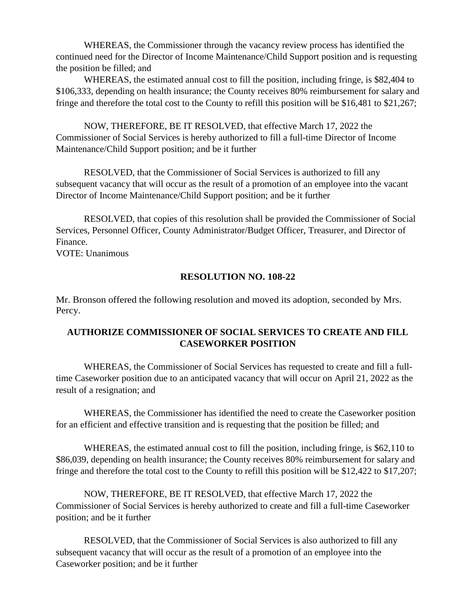WHEREAS, the Commissioner through the vacancy review process has identified the continued need for the Director of Income Maintenance/Child Support position and is requesting the position be filled; and

WHEREAS, the estimated annual cost to fill the position, including fringe, is \$82,404 to \$106,333, depending on health insurance; the County receives 80% reimbursement for salary and fringe and therefore the total cost to the County to refill this position will be \$16,481 to \$21,267;

NOW, THEREFORE, BE IT RESOLVED, that effective March 17, 2022 the Commissioner of Social Services is hereby authorized to fill a full-time Director of Income Maintenance/Child Support position; and be it further

RESOLVED, that the Commissioner of Social Services is authorized to fill any subsequent vacancy that will occur as the result of a promotion of an employee into the vacant Director of Income Maintenance/Child Support position; and be it further

RESOLVED, that copies of this resolution shall be provided the Commissioner of Social Services, Personnel Officer, County Administrator/Budget Officer, Treasurer, and Director of Finance.

VOTE: Unanimous

### **RESOLUTION NO. 108-22**

Mr. Bronson offered the following resolution and moved its adoption, seconded by Mrs. Percy.

## **AUTHORIZE COMMISSIONER OF SOCIAL SERVICES TO CREATE AND FILL CASEWORKER POSITION**

WHEREAS, the Commissioner of Social Services has requested to create and fill a fulltime Caseworker position due to an anticipated vacancy that will occur on April 21, 2022 as the result of a resignation; and

WHEREAS, the Commissioner has identified the need to create the Caseworker position for an efficient and effective transition and is requesting that the position be filled; and

WHEREAS, the estimated annual cost to fill the position, including fringe, is \$62,110 to \$86,039, depending on health insurance; the County receives 80% reimbursement for salary and fringe and therefore the total cost to the County to refill this position will be \$12,422 to \$17,207;

NOW, THEREFORE, BE IT RESOLVED, that effective March 17, 2022 the Commissioner of Social Services is hereby authorized to create and fill a full-time Caseworker position; and be it further

RESOLVED, that the Commissioner of Social Services is also authorized to fill any subsequent vacancy that will occur as the result of a promotion of an employee into the Caseworker position; and be it further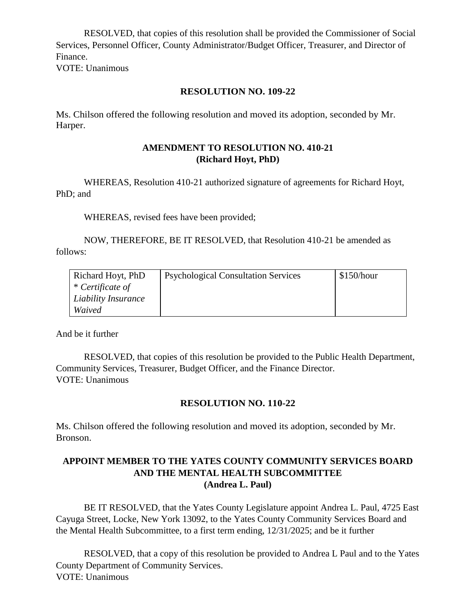RESOLVED, that copies of this resolution shall be provided the Commissioner of Social Services, Personnel Officer, County Administrator/Budget Officer, Treasurer, and Director of Finance.

VOTE: Unanimous

## **RESOLUTION NO. 109-22**

Ms. Chilson offered the following resolution and moved its adoption, seconded by Mr. Harper.

#### **AMENDMENT TO RESOLUTION NO. 410-21 (Richard Hoyt, PhD)**

WHEREAS, Resolution 410-21 authorized signature of agreements for Richard Hoyt, PhD; and

WHEREAS, revised fees have been provided;

NOW, THEREFORE, BE IT RESOLVED, that Resolution 410-21 be amended as follows:

| Richard Hoyt, PhD   | <b>Psychological Consultation Services</b> | \$150/hour |
|---------------------|--------------------------------------------|------------|
| * Certificate of    |                                            |            |
| Liability Insurance |                                            |            |
| Waived              |                                            |            |

And be it further

RESOLVED, that copies of this resolution be provided to the Public Health Department, Community Services, Treasurer, Budget Officer, and the Finance Director. VOTE: Unanimous

### **RESOLUTION NO. 110-22**

Ms. Chilson offered the following resolution and moved its adoption, seconded by Mr. Bronson.

## **APPOINT MEMBER TO THE YATES COUNTY COMMUNITY SERVICES BOARD AND THE MENTAL HEALTH SUBCOMMITTEE (Andrea L. Paul)**

BE IT RESOLVED, that the Yates County Legislature appoint Andrea L. Paul, 4725 East Cayuga Street, Locke, New York 13092, to the Yates County Community Services Board and the Mental Health Subcommittee, to a first term ending, 12/31/2025; and be it further

RESOLVED, that a copy of this resolution be provided to Andrea L Paul and to the Yates County Department of Community Services. VOTE: Unanimous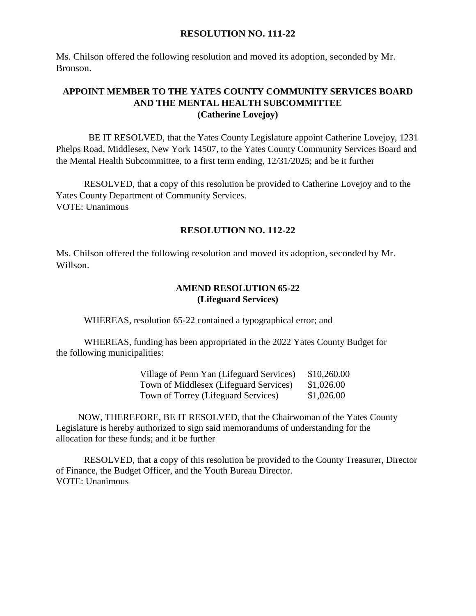#### **RESOLUTION NO. 111-22**

Ms. Chilson offered the following resolution and moved its adoption, seconded by Mr. Bronson.

## **APPOINT MEMBER TO THE YATES COUNTY COMMUNITY SERVICES BOARD AND THE MENTAL HEALTH SUBCOMMITTEE (Catherine Lovejoy)**

 BE IT RESOLVED, that the Yates County Legislature appoint Catherine Lovejoy, 1231 Phelps Road, Middlesex, New York 14507, to the Yates County Community Services Board and the Mental Health Subcommittee, to a first term ending, 12/31/2025; and be it further

RESOLVED, that a copy of this resolution be provided to Catherine Lovejoy and to the Yates County Department of Community Services. VOTE: Unanimous

### **RESOLUTION NO. 112-22**

Ms. Chilson offered the following resolution and moved its adoption, seconded by Mr. Willson.

#### **AMEND RESOLUTION 65-22 (Lifeguard Services)**

WHEREAS, resolution 65-22 contained a typographical error; and

WHEREAS, funding has been appropriated in the 2022 Yates County Budget for the following municipalities:

| Village of Penn Yan (Lifeguard Services) | \$10,260.00 |
|------------------------------------------|-------------|
| Town of Middlesex (Lifeguard Services)   | \$1,026.00  |
| Town of Torrey (Lifeguard Services)      | \$1,026.00  |

NOW, THEREFORE, BE IT RESOLVED, that the Chairwoman of the Yates County Legislature is hereby authorized to sign said memorandums of understanding for the allocation for these funds; and it be further

RESOLVED, that a copy of this resolution be provided to the County Treasurer, Director of Finance, the Budget Officer, and the Youth Bureau Director. VOTE: Unanimous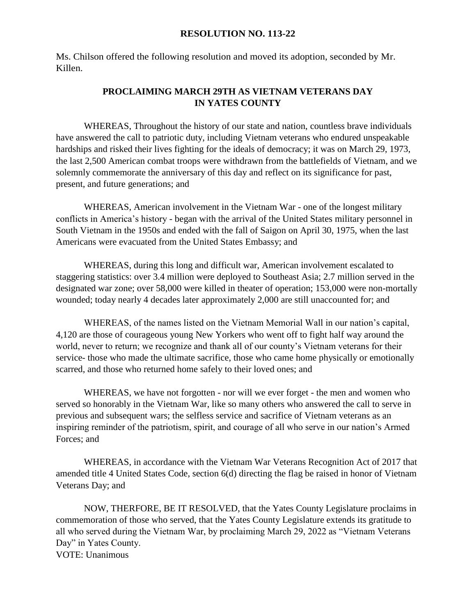#### **RESOLUTION NO. 113-22**

Ms. Chilson offered the following resolution and moved its adoption, seconded by Mr. Killen.

## **PROCLAIMING MARCH 29TH AS VIETNAM VETERANS DAY IN YATES COUNTY**

WHEREAS, Throughout the history of our state and nation, countless brave individuals have answered the call to patriotic duty, including Vietnam veterans who endured unspeakable hardships and risked their lives fighting for the ideals of democracy; it was on March 29, 1973, the last 2,500 American combat troops were withdrawn from the battlefields of Vietnam, and we solemnly commemorate the anniversary of this day and reflect on its significance for past, present, and future generations; and

WHEREAS, American involvement in the Vietnam War - one of the longest military conflicts in America's history - began with the arrival of the United States military personnel in South Vietnam in the 1950s and ended with the fall of Saigon on April 30, 1975, when the last Americans were evacuated from the United States Embassy; and

WHEREAS, during this long and difficult war, American involvement escalated to staggering statistics: over 3.4 million were deployed to Southeast Asia; 2.7 million served in the designated war zone; over 58,000 were killed in theater of operation; 153,000 were non-mortally wounded; today nearly 4 decades later approximately 2,000 are still unaccounted for; and

WHEREAS, of the names listed on the Vietnam Memorial Wall in our nation's capital, 4,120 are those of courageous young New Yorkers who went off to fight half way around the world, never to return; we recognize and thank all of our county's Vietnam veterans for their service- those who made the ultimate sacrifice, those who came home physically or emotionally scarred, and those who returned home safely to their loved ones; and

WHEREAS, we have not forgotten - nor will we ever forget - the men and women who served so honorably in the Vietnam War, like so many others who answered the call to serve in previous and subsequent wars; the selfless service and sacrifice of Vietnam veterans as an inspiring reminder of the patriotism, spirit, and courage of all who serve in our nation's Armed Forces; and

WHEREAS, in accordance with the Vietnam War Veterans Recognition Act of 2017 that amended title 4 United States Code, section 6(d) directing the flag be raised in honor of Vietnam Veterans Day; and

NOW, THERFORE, BE IT RESOLVED, that the Yates County Legislature proclaims in commemoration of those who served, that the Yates County Legislature extends its gratitude to all who served during the Vietnam War, by proclaiming March 29, 2022 as "Vietnam Veterans Day" in Yates County. VOTE: Unanimous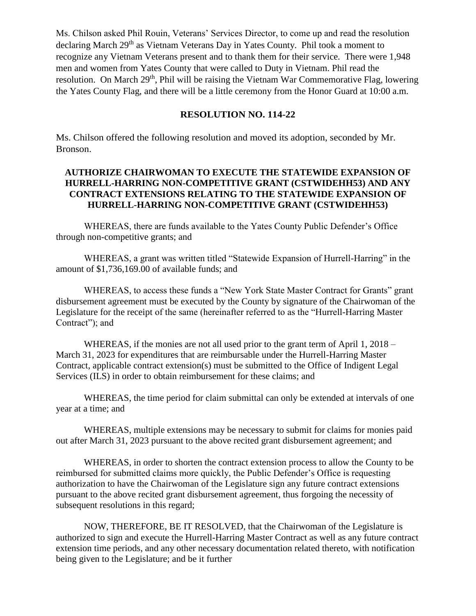Ms. Chilson asked Phil Rouin, Veterans' Services Director, to come up and read the resolution declaring March 29<sup>th</sup> as Vietnam Veterans Day in Yates County. Phil took a moment to recognize any Vietnam Veterans present and to thank them for their service. There were 1,948 men and women from Yates County that were called to Duty in Vietnam. Phil read the resolution. On March 29<sup>th</sup>, Phil will be raising the Vietnam War Commemorative Flag, lowering the Yates County Flag, and there will be a little ceremony from the Honor Guard at 10:00 a.m.

#### **RESOLUTION NO. 114-22**

Ms. Chilson offered the following resolution and moved its adoption, seconded by Mr. Bronson.

#### **AUTHORIZE CHAIRWOMAN TO EXECUTE THE STATEWIDE EXPANSION OF HURRELL-HARRING NON-COMPETITIVE GRANT (CSTWIDEHH53) AND ANY CONTRACT EXTENSIONS RELATING TO THE STATEWIDE EXPANSION OF HURRELL-HARRING NON-COMPETITIVE GRANT (CSTWIDEHH53)**

WHEREAS, there are funds available to the Yates County Public Defender's Office through non-competitive grants; and

WHEREAS, a grant was written titled "Statewide Expansion of Hurrell-Harring" in the amount of \$1,736,169.00 of available funds; and

WHEREAS, to access these funds a "New York State Master Contract for Grants" grant disbursement agreement must be executed by the County by signature of the Chairwoman of the Legislature for the receipt of the same (hereinafter referred to as the "Hurrell-Harring Master Contract"); and

WHEREAS, if the monies are not all used prior to the grant term of April 1, 2018 – March 31, 2023 for expenditures that are reimbursable under the Hurrell-Harring Master Contract, applicable contract extension(s) must be submitted to the Office of Indigent Legal Services (ILS) in order to obtain reimbursement for these claims; and

WHEREAS, the time period for claim submittal can only be extended at intervals of one year at a time; and

WHEREAS, multiple extensions may be necessary to submit for claims for monies paid out after March 31, 2023 pursuant to the above recited grant disbursement agreement; and

WHEREAS, in order to shorten the contract extension process to allow the County to be reimbursed for submitted claims more quickly, the Public Defender's Office is requesting authorization to have the Chairwoman of the Legislature sign any future contract extensions pursuant to the above recited grant disbursement agreement, thus forgoing the necessity of subsequent resolutions in this regard;

NOW, THEREFORE, BE IT RESOLVED, that the Chairwoman of the Legislature is authorized to sign and execute the Hurrell-Harring Master Contract as well as any future contract extension time periods, and any other necessary documentation related thereto, with notification being given to the Legislature; and be it further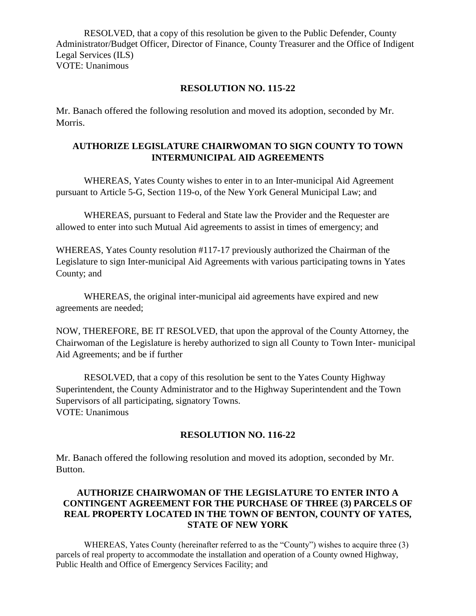RESOLVED, that a copy of this resolution be given to the Public Defender, County Administrator/Budget Officer, Director of Finance, County Treasurer and the Office of Indigent Legal Services (ILS) VOTE: Unanimous

#### **RESOLUTION NO. 115-22**

Mr. Banach offered the following resolution and moved its adoption, seconded by Mr. Morris.

## **AUTHORIZE LEGISLATURE CHAIRWOMAN TO SIGN COUNTY TO TOWN INTERMUNICIPAL AID AGREEMENTS**

WHEREAS, Yates County wishes to enter in to an Inter-municipal Aid Agreement pursuant to Article 5-G, Section 119-o, of the New York General Municipal Law; and

WHEREAS, pursuant to Federal and State law the Provider and the Requester are allowed to enter into such Mutual Aid agreements to assist in times of emergency; and

WHEREAS, Yates County resolution #117-17 previously authorized the Chairman of the Legislature to sign Inter-municipal Aid Agreements with various participating towns in Yates County; and

WHEREAS, the original inter-municipal aid agreements have expired and new agreements are needed;

NOW, THEREFORE, BE IT RESOLVED, that upon the approval of the County Attorney, the Chairwoman of the Legislature is hereby authorized to sign all County to Town Inter- municipal Aid Agreements; and be if further

RESOLVED, that a copy of this resolution be sent to the Yates County Highway Superintendent, the County Administrator and to the Highway Superintendent and the Town Supervisors of all participating, signatory Towns. VOTE: Unanimous

### **RESOLUTION NO. 116-22**

Mr. Banach offered the following resolution and moved its adoption, seconded by Mr. Button.

#### **AUTHORIZE CHAIRWOMAN OF THE LEGISLATURE TO ENTER INTO A CONTINGENT AGREEMENT FOR THE PURCHASE OF THREE (3) PARCELS OF REAL PROPERTY LOCATED IN THE TOWN OF BENTON, COUNTY OF YATES, STATE OF NEW YORK**

WHEREAS, Yates County (hereinafter referred to as the "County") wishes to acquire three (3) parcels of real property to accommodate the installation and operation of a County owned Highway, Public Health and Office of Emergency Services Facility; and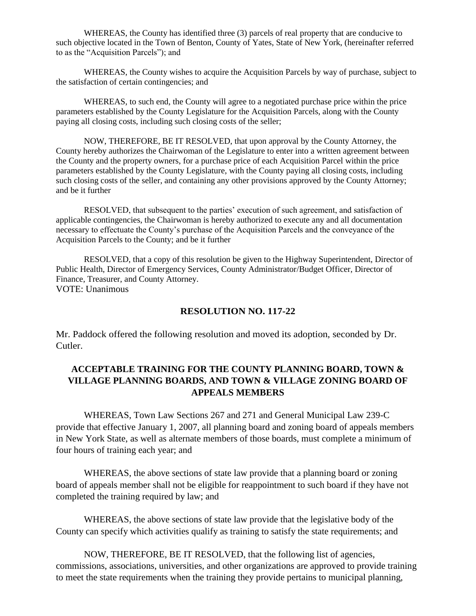WHEREAS, the County has identified three (3) parcels of real property that are conducive to such objective located in the Town of Benton, County of Yates, State of New York, (hereinafter referred to as the "Acquisition Parcels"); and

WHEREAS, the County wishes to acquire the Acquisition Parcels by way of purchase, subject to the satisfaction of certain contingencies; and

WHEREAS, to such end, the County will agree to a negotiated purchase price within the price parameters established by the County Legislature for the Acquisition Parcels, along with the County paying all closing costs, including such closing costs of the seller;

NOW, THEREFORE, BE IT RESOLVED, that upon approval by the County Attorney, the County hereby authorizes the Chairwoman of the Legislature to enter into a written agreement between the County and the property owners, for a purchase price of each Acquisition Parcel within the price parameters established by the County Legislature, with the County paying all closing costs, including such closing costs of the seller, and containing any other provisions approved by the County Attorney; and be it further

RESOLVED, that subsequent to the parties' execution of such agreement, and satisfaction of applicable contingencies, the Chairwoman is hereby authorized to execute any and all documentation necessary to effectuate the County's purchase of the Acquisition Parcels and the conveyance of the Acquisition Parcels to the County; and be it further

RESOLVED, that a copy of this resolution be given to the Highway Superintendent, Director of Public Health, Director of Emergency Services, County Administrator/Budget Officer, Director of Finance, Treasurer, and County Attorney. VOTE: Unanimous

#### **RESOLUTION NO. 117-22**

Mr. Paddock offered the following resolution and moved its adoption, seconded by Dr. Cutler.

## **ACCEPTABLE TRAINING FOR THE COUNTY PLANNING BOARD, TOWN & VILLAGE PLANNING BOARDS, AND TOWN & VILLAGE ZONING BOARD OF APPEALS MEMBERS**

WHEREAS, Town Law Sections 267 and 271 and General Municipal Law 239-C provide that effective January 1, 2007, all planning board and zoning board of appeals members in New York State, as well as alternate members of those boards, must complete a minimum of four hours of training each year; and

WHEREAS, the above sections of state law provide that a planning board or zoning board of appeals member shall not be eligible for reappointment to such board if they have not completed the training required by law; and

WHEREAS, the above sections of state law provide that the legislative body of the County can specify which activities qualify as training to satisfy the state requirements; and

NOW, THEREFORE, BE IT RESOLVED, that the following list of agencies, commissions, associations, universities, and other organizations are approved to provide training to meet the state requirements when the training they provide pertains to municipal planning,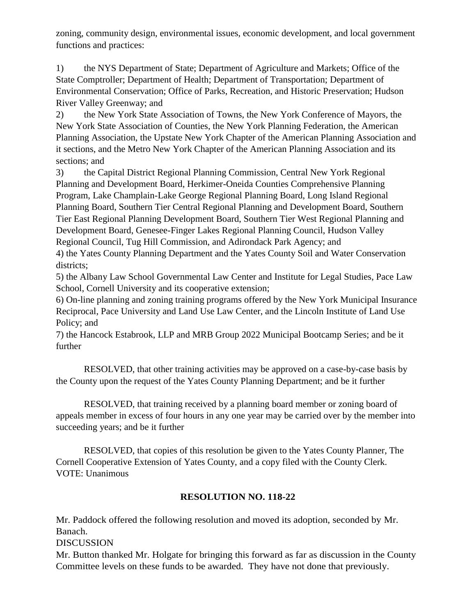zoning, community design, environmental issues, economic development, and local government functions and practices:

1) the NYS Department of State; Department of Agriculture and Markets; Office of the State Comptroller; Department of Health; Department of Transportation; Department of Environmental Conservation; Office of Parks, Recreation, and Historic Preservation; Hudson River Valley Greenway; and

2) the New York State Association of Towns, the New York Conference of Mayors, the New York State Association of Counties, the New York Planning Federation, the American Planning Association, the Upstate New York Chapter of the American Planning Association and it sections, and the Metro New York Chapter of the American Planning Association and its sections; and

3) the Capital District Regional Planning Commission, Central New York Regional Planning and Development Board, Herkimer-Oneida Counties Comprehensive Planning Program, Lake Champlain-Lake George Regional Planning Board, Long Island Regional Planning Board, Southern Tier Central Regional Planning and Development Board, Southern Tier East Regional Planning Development Board, Southern Tier West Regional Planning and Development Board, Genesee-Finger Lakes Regional Planning Council, Hudson Valley Regional Council, Tug Hill Commission, and Adirondack Park Agency; and

4) the Yates County Planning Department and the Yates County Soil and Water Conservation districts;

5) the Albany Law School Governmental Law Center and Institute for Legal Studies, Pace Law School, Cornell University and its cooperative extension;

6) On-line planning and zoning training programs offered by the New York Municipal Insurance Reciprocal, Pace University and Land Use Law Center, and the Lincoln Institute of Land Use Policy; and

7) the Hancock Estabrook, LLP and MRB Group 2022 Municipal Bootcamp Series; and be it further

RESOLVED, that other training activities may be approved on a case-by-case basis by the County upon the request of the Yates County Planning Department; and be it further

RESOLVED, that training received by a planning board member or zoning board of appeals member in excess of four hours in any one year may be carried over by the member into succeeding years; and be it further

RESOLVED, that copies of this resolution be given to the Yates County Planner, The Cornell Cooperative Extension of Yates County, and a copy filed with the County Clerk. VOTE: Unanimous

# **RESOLUTION NO. 118-22**

Mr. Paddock offered the following resolution and moved its adoption, seconded by Mr. Banach.

DISCUSSION

Mr. Button thanked Mr. Holgate for bringing this forward as far as discussion in the County Committee levels on these funds to be awarded. They have not done that previously.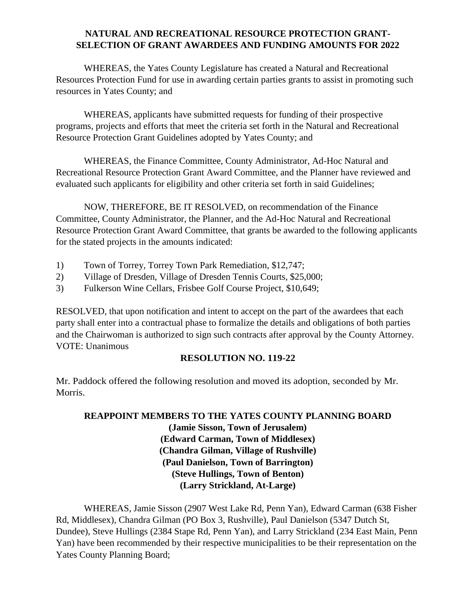## **NATURAL AND RECREATIONAL RESOURCE PROTECTION GRANT-SELECTION OF GRANT AWARDEES AND FUNDING AMOUNTS FOR 2022**

WHEREAS, the Yates County Legislature has created a Natural and Recreational Resources Protection Fund for use in awarding certain parties grants to assist in promoting such resources in Yates County; and

WHEREAS, applicants have submitted requests for funding of their prospective programs, projects and efforts that meet the criteria set forth in the Natural and Recreational Resource Protection Grant Guidelines adopted by Yates County; and

WHEREAS, the Finance Committee, County Administrator, Ad-Hoc Natural and Recreational Resource Protection Grant Award Committee, and the Planner have reviewed and evaluated such applicants for eligibility and other criteria set forth in said Guidelines;

NOW, THEREFORE, BE IT RESOLVED, on recommendation of the Finance Committee, County Administrator, the Planner, and the Ad-Hoc Natural and Recreational Resource Protection Grant Award Committee, that grants be awarded to the following applicants for the stated projects in the amounts indicated:

- 1) Town of Torrey, Torrey Town Park Remediation, \$12,747;
- 2) Village of Dresden, Village of Dresden Tennis Courts, \$25,000;
- 3) Fulkerson Wine Cellars, Frisbee Golf Course Project, \$10,649;

RESOLVED, that upon notification and intent to accept on the part of the awardees that each party shall enter into a contractual phase to formalize the details and obligations of both parties and the Chairwoman is authorized to sign such contracts after approval by the County Attorney. VOTE: Unanimous

## **RESOLUTION NO. 119-22**

Mr. Paddock offered the following resolution and moved its adoption, seconded by Mr. Morris.

## **REAPPOINT MEMBERS TO THE YATES COUNTY PLANNING BOARD (Jamie Sisson, Town of Jerusalem) (Edward Carman, Town of Middlesex) (Chandra Gilman, Village of Rushville) (Paul Danielson, Town of Barrington) (Steve Hullings, Town of Benton) (Larry Strickland, At-Large)**

WHEREAS, Jamie Sisson (2907 West Lake Rd, Penn Yan), Edward Carman (638 Fisher Rd, Middlesex), Chandra Gilman (PO Box 3, Rushville), Paul Danielson (5347 Dutch St, Dundee), Steve Hullings (2384 Stape Rd, Penn Yan), and Larry Strickland (234 East Main, Penn Yan) have been recommended by their respective municipalities to be their representation on the Yates County Planning Board;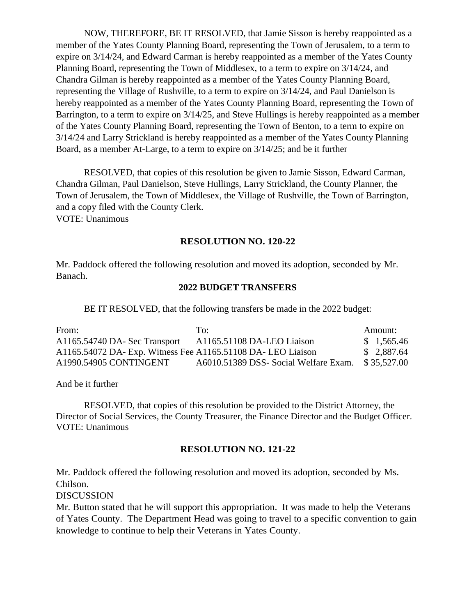NOW, THEREFORE, BE IT RESOLVED, that Jamie Sisson is hereby reappointed as a member of the Yates County Planning Board, representing the Town of Jerusalem, to a term to expire on 3/14/24, and Edward Carman is hereby reappointed as a member of the Yates County Planning Board, representing the Town of Middlesex, to a term to expire on 3/14/24, and Chandra Gilman is hereby reappointed as a member of the Yates County Planning Board, representing the Village of Rushville, to a term to expire on 3/14/24, and Paul Danielson is hereby reappointed as a member of the Yates County Planning Board, representing the Town of Barrington, to a term to expire on 3/14/25, and Steve Hullings is hereby reappointed as a member of the Yates County Planning Board, representing the Town of Benton, to a term to expire on 3/14/24 and Larry Strickland is hereby reappointed as a member of the Yates County Planning Board, as a member At-Large, to a term to expire on 3/14/25; and be it further

RESOLVED, that copies of this resolution be given to Jamie Sisson, Edward Carman, Chandra Gilman, Paul Danielson, Steve Hullings, Larry Strickland, the County Planner, the Town of Jerusalem, the Town of Middlesex, the Village of Rushville, the Town of Barrington, and a copy filed with the County Clerk. VOTE: Unanimous

#### **RESOLUTION NO. 120-22**

Mr. Paddock offered the following resolution and moved its adoption, seconded by Mr. Banach.

### **2022 BUDGET TRANSFERS**

BE IT RESOLVED, that the following transfers be made in the 2022 budget:

| From:                                                        | To:                                  | Amount:     |
|--------------------------------------------------------------|--------------------------------------|-------------|
| A1165.54740 DA- Sec Transport                                | A1165.51108 DA-LEO Liaison           | \$1,565.46  |
| A1165.54072 DA- Exp. Witness Fee A1165.51108 DA- LEO Liaison |                                      | \$2,887.64  |
| A1990.54905 CONTINGENT                                       | A6010.51389 DSS-Social Welfare Exam. | \$35,527.00 |

And be it further

RESOLVED, that copies of this resolution be provided to the District Attorney, the Director of Social Services, the County Treasurer, the Finance Director and the Budget Officer. VOTE: Unanimous

#### **RESOLUTION NO. 121-22**

Mr. Paddock offered the following resolution and moved its adoption, seconded by Ms. Chilson.

DISCUSSION

Mr. Button stated that he will support this appropriation. It was made to help the Veterans of Yates County. The Department Head was going to travel to a specific convention to gain knowledge to continue to help their Veterans in Yates County.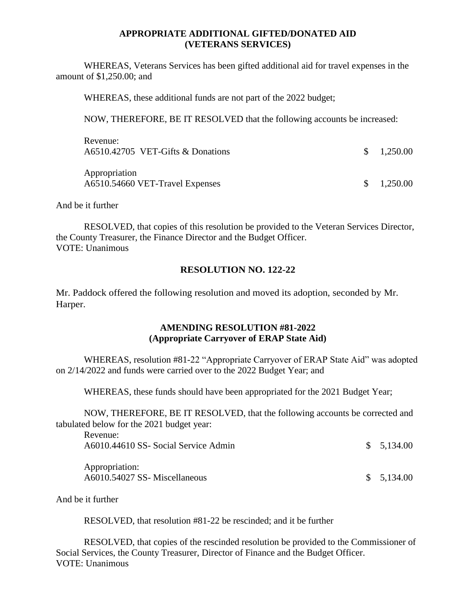#### **APPROPRIATE ADDITIONAL GIFTED/DONATED AID (VETERANS SERVICES)**

WHEREAS, Veterans Services has been gifted additional aid for travel expenses in the amount of \$1,250.00; and

WHEREAS, these additional funds are not part of the 2022 budget;

NOW, THEREFORE, BE IT RESOLVED that the following accounts be increased:

| Revenue:<br>A6510.42705 VET-Gifts & Donations    | $\frac{\$}{0.250.00}$ |
|--------------------------------------------------|-----------------------|
| Appropriation<br>A6510.54660 VET-Travel Expenses | $\frac{\$}{0.250.00}$ |

And be it further

RESOLVED, that copies of this resolution be provided to the Veteran Services Director, the County Treasurer, the Finance Director and the Budget Officer. VOTE: Unanimous

#### **RESOLUTION NO. 122-22**

Mr. Paddock offered the following resolution and moved its adoption, seconded by Mr. Harper.

#### **AMENDING RESOLUTION #81-2022 (Appropriate Carryover of ERAP State Aid)**

WHEREAS, resolution #81-22 "Appropriate Carryover of ERAP State Aid" was adopted on 2/14/2022 and funds were carried over to the 2022 Budget Year; and

WHEREAS, these funds should have been appropriated for the 2021 Budget Year;

NOW, THEREFORE, BE IT RESOLVED, that the following accounts be corrected and tabulated below for the 2021 budget year:

| www.uw.<br>A6010.44610 SS- Social Service Admin | \$5,134.00 |
|-------------------------------------------------|------------|
| Appropriation:<br>A6010.54027 SS-Miscellaneous  | \$5,134.00 |

And be it further

Revenue:

RESOLVED, that resolution #81-22 be rescinded; and it be further

RESOLVED, that copies of the rescinded resolution be provided to the Commissioner of Social Services, the County Treasurer, Director of Finance and the Budget Officer. VOTE: Unanimous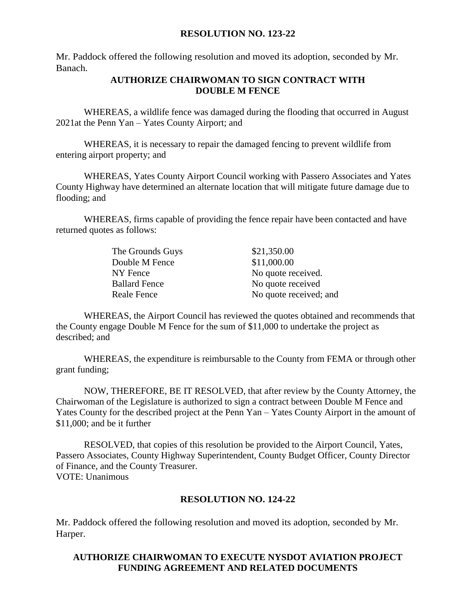#### **RESOLUTION NO. 123-22**

Mr. Paddock offered the following resolution and moved its adoption, seconded by Mr. Banach.

### **AUTHORIZE CHAIRWOMAN TO SIGN CONTRACT WITH DOUBLE M FENCE**

WHEREAS, a wildlife fence was damaged during the flooding that occurred in August 2021at the Penn Yan – Yates County Airport; and

WHEREAS, it is necessary to repair the damaged fencing to prevent wildlife from entering airport property; and

WHEREAS, Yates County Airport Council working with Passero Associates and Yates County Highway have determined an alternate location that will mitigate future damage due to flooding; and

WHEREAS, firms capable of providing the fence repair have been contacted and have returned quotes as follows:

| The Grounds Guys     | \$21,350.00            |
|----------------------|------------------------|
| Double M Fence       | \$11,000.00            |
| NY Fence             | No quote received.     |
| <b>Ballard Fence</b> | No quote received      |
| Reale Fence          | No quote received; and |

WHEREAS, the Airport Council has reviewed the quotes obtained and recommends that the County engage Double M Fence for the sum of \$11,000 to undertake the project as described; and

WHEREAS, the expenditure is reimbursable to the County from FEMA or through other grant funding;

NOW, THEREFORE, BE IT RESOLVED, that after review by the County Attorney, the Chairwoman of the Legislature is authorized to sign a contract between Double M Fence and Yates County for the described project at the Penn Yan – Yates County Airport in the amount of \$11,000; and be it further

RESOLVED, that copies of this resolution be provided to the Airport Council, Yates, Passero Associates, County Highway Superintendent, County Budget Officer, County Director of Finance, and the County Treasurer. VOTE: Unanimous

### **RESOLUTION NO. 124-22**

Mr. Paddock offered the following resolution and moved its adoption, seconded by Mr. Harper.

#### **AUTHORIZE CHAIRWOMAN TO EXECUTE NYSDOT AVIATION PROJECT FUNDING AGREEMENT AND RELATED DOCUMENTS**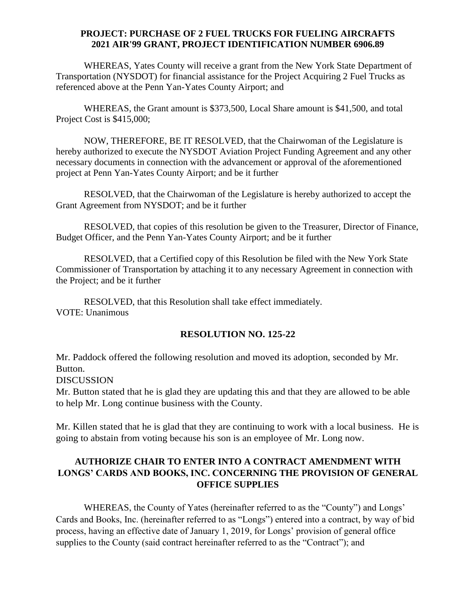#### **PROJECT: PURCHASE OF 2 FUEL TRUCKS FOR FUELING AIRCRAFTS 2021 AIR'99 GRANT, PROJECT IDENTIFICATION NUMBER 6906.89**

WHEREAS, Yates County will receive a grant from the New York State Department of Transportation (NYSDOT) for financial assistance for the Project Acquiring 2 Fuel Trucks as referenced above at the Penn Yan-Yates County Airport; and

WHEREAS, the Grant amount is \$373,500, Local Share amount is \$41,500, and total Project Cost is \$415,000;

NOW, THEREFORE, BE IT RESOLVED, that the Chairwoman of the Legislature is hereby authorized to execute the NYSDOT Aviation Project Funding Agreement and any other necessary documents in connection with the advancement or approval of the aforementioned project at Penn Yan-Yates County Airport; and be it further

RESOLVED, that the Chairwoman of the Legislature is hereby authorized to accept the Grant Agreement from NYSDOT; and be it further

RESOLVED, that copies of this resolution be given to the Treasurer, Director of Finance, Budget Officer, and the Penn Yan-Yates County Airport; and be it further

RESOLVED, that a Certified copy of this Resolution be filed with the New York State Commissioner of Transportation by attaching it to any necessary Agreement in connection with the Project; and be it further

RESOLVED, that this Resolution shall take effect immediately. VOTE: Unanimous

### **RESOLUTION NO. 125-22**

Mr. Paddock offered the following resolution and moved its adoption, seconded by Mr. Button.

DISCUSSION

Mr. Button stated that he is glad they are updating this and that they are allowed to be able to help Mr. Long continue business with the County.

Mr. Killen stated that he is glad that they are continuing to work with a local business. He is going to abstain from voting because his son is an employee of Mr. Long now.

## **AUTHORIZE CHAIR TO ENTER INTO A CONTRACT AMENDMENT WITH LONGS' CARDS AND BOOKS, INC. CONCERNING THE PROVISION OF GENERAL OFFICE SUPPLIES**

WHEREAS, the County of Yates (hereinafter referred to as the "County") and Longs' Cards and Books, Inc. (hereinafter referred to as "Longs") entered into a contract, by way of bid process, having an effective date of January 1, 2019, for Longs' provision of general office supplies to the County (said contract hereinafter referred to as the "Contract"); and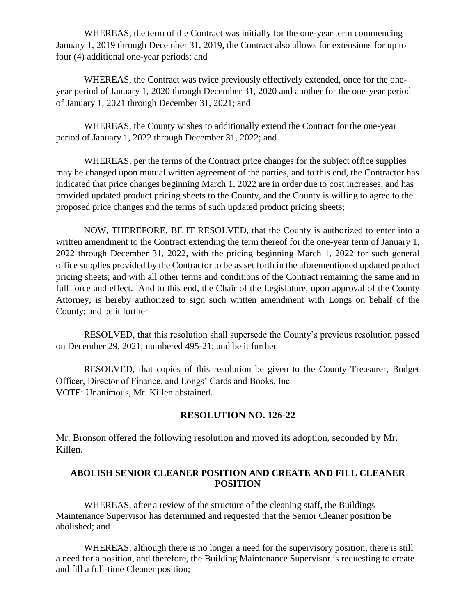WHEREAS, the term of the Contract was initially for the one-year term commencing January 1, 2019 through December 31, 2019, the Contract also allows for extensions for up to four (4) additional one-year periods; and

WHEREAS, the Contract was twice previously effectively extended, once for the oneyear period of January 1, 2020 through December 31, 2020 and another for the one-year period of January 1, 2021 through December 31, 2021; and

WHEREAS, the County wishes to additionally extend the Contract for the one-year period of January 1, 2022 through December 31, 2022; and

WHEREAS, per the terms of the Contract price changes for the subject office supplies may be changed upon mutual written agreement of the parties, and to this end, the Contractor has indicated that price changes beginning March 1, 2022 are in order due to cost increases, and has provided updated product pricing sheets to the County, and the County is willing to agree to the proposed price changes and the terms of such updated product pricing sheets;

NOW, THEREFORE, BE IT RESOLVED, that the County is authorized to enter into a written amendment to the Contract extending the term thereof for the one-year term of January 1, 2022 through December 31, 2022, with the pricing beginning March 1, 2022 for such general office supplies provided by the Contractor to be as set forth in the aforementioned updated product pricing sheets; and with all other terms and conditions of the Contract remaining the same and in full force and effect. And to this end, the Chair of the Legislature, upon approval of the County Attorney, is hereby authorized to sign such written amendment with Longs on behalf of the County; and be it further

RESOLVED, that this resolution shall supersede the County's previous resolution passed on December 29, 2021, numbered 495-21; and be it further

RESOLVED, that copies of this resolution be given to the County Treasurer, Budget Officer, Director of Finance, and Longs' Cards and Books, Inc. VOTE: Unanimous, Mr. Killen abstained.

### **RESOLUTION NO. 126-22**

Mr. Bronson offered the following resolution and moved its adoption, seconded by Mr. Killen.

#### **ABOLISH SENIOR CLEANER POSITION AND CREATE AND FILL CLEANER POSITION**

WHEREAS, after a review of the structure of the cleaning staff, the Buildings Maintenance Supervisor has determined and requested that the Senior Cleaner position be abolished; and

WHEREAS, although there is no longer a need for the supervisory position, there is still a need for a position, and therefore, the Building Maintenance Supervisor is requesting to create and fill a full-time Cleaner position;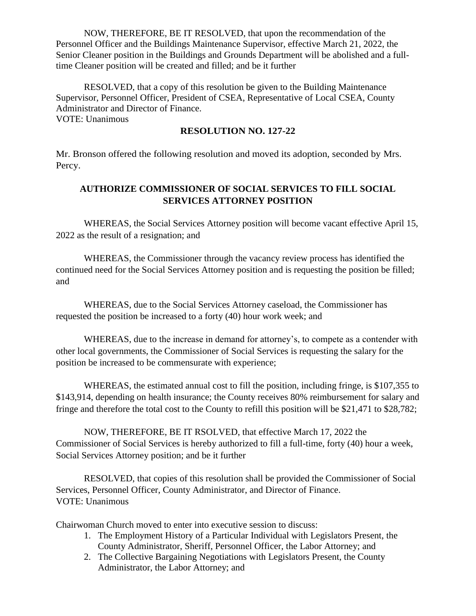NOW, THEREFORE, BE IT RESOLVED, that upon the recommendation of the Personnel Officer and the Buildings Maintenance Supervisor, effective March 21, 2022, the Senior Cleaner position in the Buildings and Grounds Department will be abolished and a fulltime Cleaner position will be created and filled; and be it further

RESOLVED, that a copy of this resolution be given to the Building Maintenance Supervisor, Personnel Officer, President of CSEA, Representative of Local CSEA, County Administrator and Director of Finance. VOTE: Unanimous

**RESOLUTION NO. 127-22**

Mr. Bronson offered the following resolution and moved its adoption, seconded by Mrs. Percy.

# **AUTHORIZE COMMISSIONER OF SOCIAL SERVICES TO FILL SOCIAL SERVICES ATTORNEY POSITION**

WHEREAS, the Social Services Attorney position will become vacant effective April 15, 2022 as the result of a resignation; and

WHEREAS, the Commissioner through the vacancy review process has identified the continued need for the Social Services Attorney position and is requesting the position be filled; and

WHEREAS, due to the Social Services Attorney caseload, the Commissioner has requested the position be increased to a forty (40) hour work week; and

WHEREAS, due to the increase in demand for attorney's, to compete as a contender with other local governments, the Commissioner of Social Services is requesting the salary for the position be increased to be commensurate with experience;

WHEREAS, the estimated annual cost to fill the position, including fringe, is \$107,355 to \$143,914, depending on health insurance; the County receives 80% reimbursement for salary and fringe and therefore the total cost to the County to refill this position will be \$21,471 to \$28,782;

NOW, THEREFORE, BE IT RSOLVED, that effective March 17, 2022 the Commissioner of Social Services is hereby authorized to fill a full-time, forty (40) hour a week, Social Services Attorney position; and be it further

RESOLVED, that copies of this resolution shall be provided the Commissioner of Social Services, Personnel Officer, County Administrator, and Director of Finance. VOTE: Unanimous

Chairwoman Church moved to enter into executive session to discuss:

- 1. The Employment History of a Particular Individual with Legislators Present, the County Administrator, Sheriff, Personnel Officer, the Labor Attorney; and
- 2. The Collective Bargaining Negotiations with Legislators Present, the County Administrator, the Labor Attorney; and